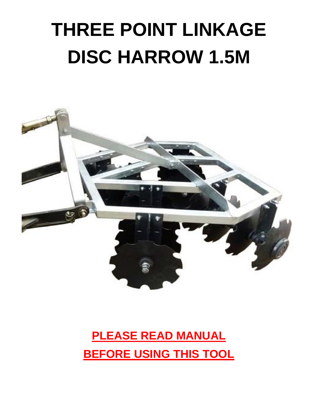# **THREE POINT LINKAGE DISC HARROW 1.5M**



# **PLEASE READ MANUAL BEFORE USING THIS TOOL**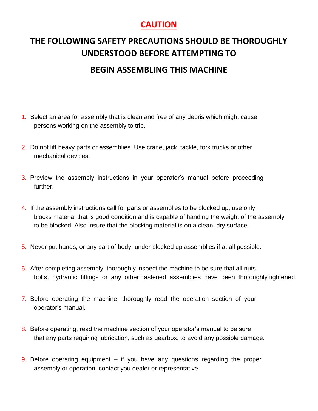### **CAUTION**

### **THE FOLLOWING SAFETY PRECAUTIONS SHOULD BE THOROUGHLY UNDERSTOOD BEFORE ATTEMPTING TO BEGIN ASSEMBLING THIS MACHINE**

- 1. Select an area for assembly that is clean and free of any debris which might cause persons working on the assembly to trip.
- 2. Do not lift heavy parts or assemblies. Use crane, jack, tackle, fork trucks or other mechanical devices.
- 3. Preview the assembly instructions in your operator's manual before proceeding further.
- 4. If the assembly instructions call for parts or assemblies to be blocked up, use only blocks material that is good condition and is capable of handing the weight of the assembly to be blocked. Also insure that the blocking material is on a clean, dry surface.
- 5. Never put hands, or any part of body, under blocked up assemblies if at all possible.
- 6. After completing assembly, thoroughly inspect the machine to be sure that all nuts, bolts, hydraulic fittings or any other fastened assemblies have been thoroughly tightened.
- 7. Before operating the machine, thoroughly read the operation section of your operator's manual.
- 8. Before operating, read the machine section of your operator's manual to be sure that any parts requiring lubrication, such as gearbox, to avoid any possible damage.
- **9.** Before operating equipment if you have any questions regarding the proper assembly or operation, contact you dealer or representative.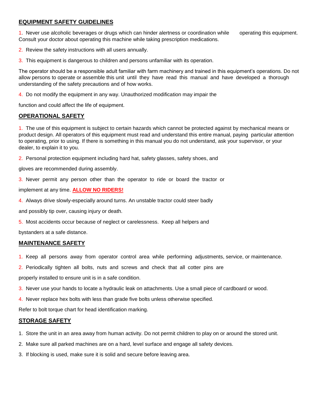#### **EQUIPMENT SAFETY GUIDELINES**

1. Never use alcoholic beverages or drugs which can hinder alertness or coordination while operating this equipment. Consult your doctor about operating this machine while taking prescription medications.

- 2. Review the safety instructions with all users annually.
- 3. This equipment is dangerous to children and persons unfamiliar with its operation.

The operator should be a responsible adult familiar with farm machinery and trained in this equipment's operations. Do not allow persons to operate or assemble this unit until they have read this manual and have developed a thorough understanding of the safety precautions and of how works.

4. Do not modify the equipment in any way. Unauthorized modification may impair the

function and could affect the life of equipment.

#### **OPERATIONAL SAFETY**

1. The use of this equipment is subject to certain hazards which cannot be protected against by mechanical means or product design. All operators of this equipment must read and understand this entire manual, paying particular attention to operating, prior to using. If there is something in this manual you do not understand, ask your supervisor, or your dealer, to explain it to you.

2. Personal protection equipment including hard hat, safety glasses, safety shoes, and

gloves are recommended during assembly.

3. Never permit any person other than the operator to ride or board the tractor or

implement at any time. **ALLOW NO RIDERS!**

4. Always drive slowly-especially around turns. An unstable tractor could steer badly

and possibly tip over, causing injury or death.

5. Most accidents occur because of neglect or carelessness. Keep all helpers and

bystanders at a safe distance.

#### **MAINTENANCE SAFETY**

- 1. Keep all persons away from operator control area while performing adjustments, service, or maintenance.
- 2. Periodically tighten all bolts, nuts and screws and check that all cotter pins are

properly installed to ensure unit is in a safe condition.

- 3. Never use your hands to locate a hydraulic leak on attachments. Use a small piece of cardboard or wood.
- 4. Never replace hex bolts with less than grade five bolts unless otherwise specified.

Refer to bolt torque chart for head identification marking.

#### **STORAGE SAFETY**

- 1. Store the unit in an area away from human activity. Do not permit children to play on or around the stored unit.
- 2. Make sure all parked machines are on a hard, level surface and engage all safety devices.
- 3. If blocking is used, make sure it is solid and secure before leaving area.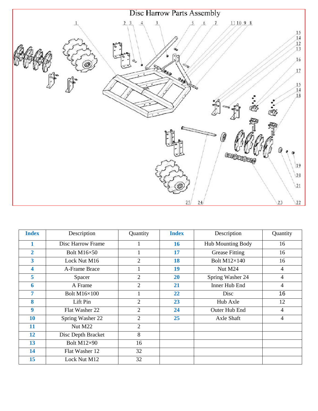

| <b>Index</b>            | Description         | Quantity       | <b>Index</b> | Description           | Quantity       |
|-------------------------|---------------------|----------------|--------------|-----------------------|----------------|
| 1                       | Disc Harrow Frame   | 1              | 16           | Hub Mounting Body     | 16             |
| $\overline{2}$          | <b>Bolt M16×50</b>  |                | 17           | <b>Grease Fitting</b> | 16             |
| 3                       | Lock Nut M16        | 2              | 18           | <b>Bolt M12×140</b>   | 16             |
| $\overline{\mathbf{4}}$ | A-Frame Brace       |                | 19           | Nut M24               | $\overline{4}$ |
| 5                       | Spacer              | 2              | <b>20</b>    | Spring Washer 24      | $\overline{4}$ |
| 6                       | A Frame             | 2              | 21           | Inner Hub End         | 4              |
| 7                       | <b>Bolt M16×100</b> |                | 22           | Disc                  | 16             |
| 8                       | Lift Pin            | 2              | 23           | Hub Axle              | 12             |
| 9                       | Flat Washer 22      | $\overline{2}$ | 24           | Outer Hub End         | 4              |
| <b>10</b>               | Spring Washer 22    | $\overline{2}$ | 25           | Axle Shaft            | $\overline{4}$ |
| 11                      | Nut M22             | $\overline{2}$ |              |                       |                |
| 12                      | Disc Depth Bracket  | 8              |              |                       |                |
| 13                      | Bolt M12×90         | 16             |              |                       |                |
| 14                      | Flat Washer 12      | 32             |              |                       |                |
| 15                      | Lock Nut M12        | 32             |              |                       |                |